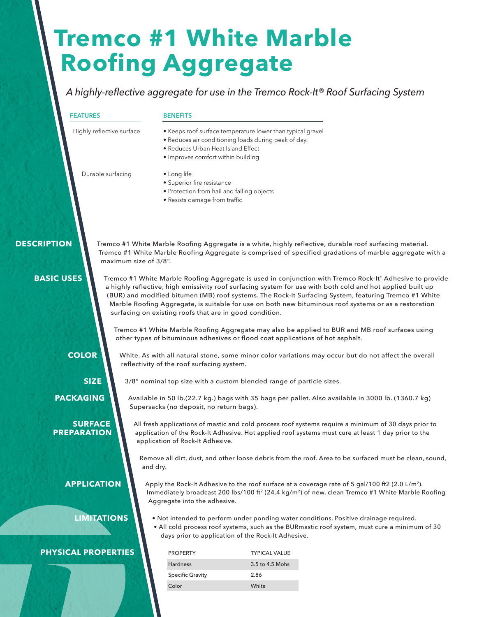# **Tremco #1 White Marble Roofing Aggregate**

### *A highly-reflective aggregate for use in the Tremco Rock-It® Roof Surfacing System*

#### **FEATURES**

#### **BENEFITS**

- Keeps roof surface temperature lower than typical gravel
- Reduces air conditioning loads during peak of day.
- Reduces Urban Heat Island Effect
- Improves comfort within building

Durable surfacing

Highly reflective surface

#### • Long life

- Superior fire resistance
- Protection from hail and falling objects
- Resists damage from traffic

#### **DESCRIPTION**

Tremco #1 White Marble Roofing Aggregate is a white, highly reflective, durable roof surfacing material. Tremco #1 White Marble Roofing Aggregate is comprised of specified gradations of marble aggregate with a maximum size of 3/8".

#### **BASIC USES**

Tremco #1 White Marble Roofing Aggregate is used in conjunction with Tremco Rock-It® Adhesive to provide a highly reflective, high emissivity roof surfacing system for use with both cold and hot applied built up (BUR) and modified bitumen (MB) roof systems. The Rock-It Surfacing System, featuring Tremco #1 White Marble Roofing Aggregate, is suitable for use on both new bituminous roof systems or as a restoration surfacing on existing roofs that are in good condition.

Tremco #1 White Marble Roofing Aggregate may also be applied to BUR and MB roof surfaces using other types of bituminous adhesives or flood coat applications of hot asphalt.

#### **COLOR**

**PREPARATION**

White. As with all natural stone, some minor color variations may occur but do not affect the overall reflectivity of the roof surfacing system.

**SIZE**

Available in 50 lb.(22.7 kg.) bags with 35 bags per pallet. Also available in 3000 lb. (1360.7 kg)  **PACKAGING**

Supersacks (no deposit, no return bags). **SURFACE** 

All fresh applications of mastic and cold process roof systems require a minimum of 30 days prior to application of the Rock-It Adhesive. Hot applied roof systems must cure at least 1 day prior to the application of Rock-It Adhesive.

Remove all dirt, dust, and other loose debris from the roof. Area to be surfaced must be clean, sound, and dry.

**APPLICATION**

Apply the Rock-It Adhesive to the roof surface at a coverage rate of 5 gal/100 ft2 (2.0 L/m<sup>2</sup>). Immediately broadcast 200 lbs/100 ft<sup>2</sup> (24.4 kg/m<sup>2</sup>) of new, clean Tremco #1 White Marble Roofing Aggregate into the adhesive.

**LIMITATIONS**

- Not intended to perform under ponding water conditions. Positive drainage required.
- All cold process roof systems, such as the BURmastic roof system, must cure a minimum of 30 days prior to application of the Rock-It Adhesive.

#### **PHYSICAL PROPERTIES**

| <b>PROPERTY</b>         | <b>TYPICAL VALUE</b> |
|-------------------------|----------------------|
| <b>Hardness</b>         | 3.5 to 4.5 Mohs      |
| <b>Specific Gravity</b> | 2.86                 |
| C <sub>Q</sub>          | White                |

3/8" nominal top size with a custom blended range of particle sizes.